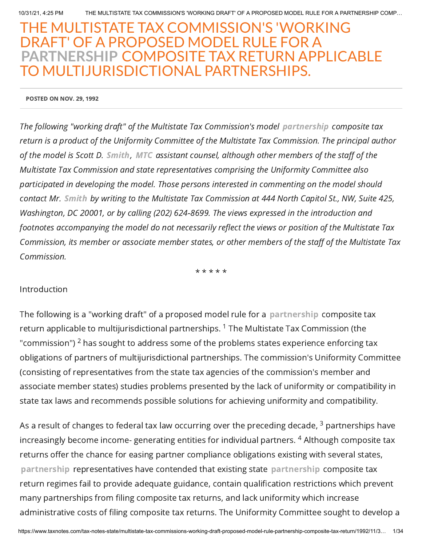# THE MULTISTATE TAX COMMISSION'S 'WORKING DRAFT' OF A PROPOSED MODEL RULE FOR A **PARTNERSHIP** COMPOSITE TAX RETURN APPLICABLE TO MULTIJURISDICTIONAL PARTNERSHIPS.

POSTED ON NOV. 29, 1992

The following "working draft" of the Multistate Tax Commission's model partnership composite tax return is a product of the Uniformity Committee of the Multistate Tax Commission. The principal author of the model is Scott D. Smith, MTC assistant counsel, although other members of the staff of the Multistate Tax Commission and state representatives comprising the Uniformity Committee also participated in developing the model. Those persons interested in commenting on the model should contact Mr. Smith by writing to the Multistate Tax Commission at 444 North Capitol St., NW, Suite 425, Washington, DC 20001, or by calling (202) 624-8699. The views expressed in the introduction and footnotes accompanying the model do not necessarily reflect the views or position of the Multistate Tax Commission, its member or associate member states, or other members of the staff of the Multistate Tax Commission.

\* \* \* \* \*

#### Introduction

The following is a "working draft" of a proposed model rule for a partnership composite tax return applicable to multijurisdictional partnerships.  $^{\rm 1}$  The Multistate Tax Commission (the "commission")  $^2$  has sought to address some of the problems states experience enforcing tax obligations of partners of multijurisdictional partnerships. The commission's Uniformity Committee (consisting of representatives from the state tax agencies of the commission's member and associate member states) studies problems presented by the lack of uniformity or compatibility in state tax laws and recommends possible solutions for achieving uniformity and compatibility.

As a result of changes to federal tax law occurring over the preceding decade,  $^3$  partnerships have increasingly become income- generating entities for individual partners.  $^4$  Although composite tax returns offer the chance for easing partner compliance obligations existing with several states, partnership representatives have contended that existing state partnership composite tax return regimes fail to provide adequate guidance, contain qualification restrictions which prevent many partnerships from filing composite tax returns, and lack uniformity which increase administrative costs of filing composite tax returns. The Uniformity Committee sought to develop a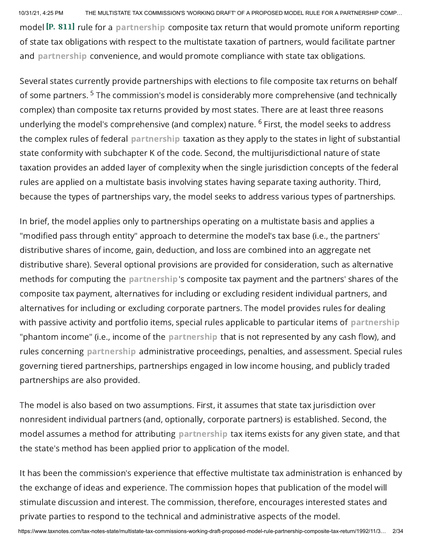model  $\left[ P. 811 \right]$  rule for a partnership composite tax return that would promote uniform reporting of state tax obligations with respect to the multistate taxation of partners, would facilitate partner and partnership convenience, and would promote compliance with state tax obligations.

Several states currently provide partnerships with elections to file composite tax returns on behalf of some partners. <sup>5</sup> The commission's model is considerably more comprehensive (and technically complex) than composite tax returns provided by most states. There are at least three reasons underlying the model's comprehensive (and complex) nature. <sup>6</sup> First, the model seeks to address the complex rules of federal partnership taxation as they apply to the states in light of substantial state conformity with subchapter K of the code. Second, the multijurisdictional nature of state taxation provides an added layer of complexity when the single jurisdiction concepts of the federal rules are applied on a multistate basis involving states having separate taxing authority. Third, because the types of partnerships vary, the model seeks to address various types of partnerships.

In brief, the model applies only to partnerships operating on a multistate basis and applies a "modified pass through entity" approach to determine the model's tax base (i.e., the partners' distributive shares of income, gain, deduction, and loss are combined into an aggregate net distributive share). Several optional provisions are provided for consideration, such as alternative methods for computing the partnership's composite tax payment and the partners' shares of the composite tax payment, alternatives for including or excluding resident individual partners, and alternatives for including or excluding corporate partners. The model provides rules for dealing with passive activity and portfolio items, special rules applicable to particular items of partnership "phantom income" (i.e., income of the partnership that is not represented by any cash flow), and rules concerning partnership administrative proceedings, penalties, and assessment. Special rules governing tiered partnerships, partnerships engaged in low income housing, and publicly traded partnerships are also provided.

The model is also based on two assumptions. First, it assumes that state tax jurisdiction over nonresident individual partners (and, optionally, corporate partners) is established. Second, the model assumes a method for attributing partnership tax items exists for any given state, and that the state's method has been applied prior to application of the model.

It has been the commission's experience that effective multistate tax administration is enhanced by the exchange of ideas and experience. The commission hopes that publication of the model will stimulate discussion and interest. The commission, therefore, encourages interested states and private parties to respond to the technical and administrative aspects of the model.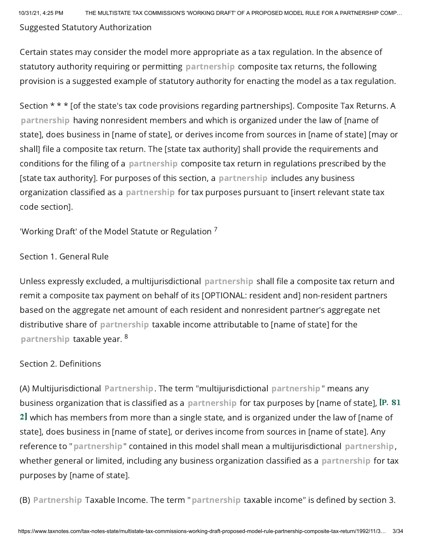10/31/21, 4:25 PM THE MULTISTATE TAX COMMISSION'S 'WORKING DRAFT' OF A PROPOSED MODEL RULE FOR A PARTNERSHIP COMP… Suggested Statutory Authorization

Certain states may consider the model more appropriate as a tax regulation. In the absence of statutory authority requiring or permitting partnership composite tax returns, the following provision is a suggested example of statutory authority for enacting the model as a tax regulation.

Section \* \* \* [of the state's tax code provisions regarding partnerships]. Composite Tax Returns. A partnership having nonresident members and which is organized under the law of [name of state], does business in [name of state], or derives income from sources in [name of state] [may or shall] file a composite tax return. The [state tax authority] shall provide the requirements and conditions for the filing of a partnership composite tax return in regulations prescribed by the [state tax authority]. For purposes of this section, a partnership includes any business organization classified as a partnership for tax purposes pursuant to [insert relevant state tax code section].

'Working Draft' of the Model Statute or Regulation  $^7$ 

## Section 1. General Rule

Unless expressly excluded, a multijurisdictional partnership shall file a composite tax return and remit a composite tax payment on behalf of its [OPTIONAL: resident and] non-resident partners based on the aggregate net amount of each resident and nonresident partner's aggregate net distributive share of partnership taxable income attributable to [name of state] for the partnership taxable year.  $^8$ 

# Section 2. Definitions

(A) Multijurisdictional Partnership. The term "multijurisdictional partnership" means any business organization that is classified as a partnership for tax purposes by [name of state], [P. 81 2] which has members from more than a single state, and is organized under the law of [name of state], does business in [name of state], or derives income from sources in [name of state]. Any reference to "partnership" contained in this model shall mean a multijurisdictional partnership, whether general or limited, including any business organization classified as a partnership for tax purposes by [name of state].

(B) Partnership Taxable Income. The term "partnership taxable income" is defined by section 3.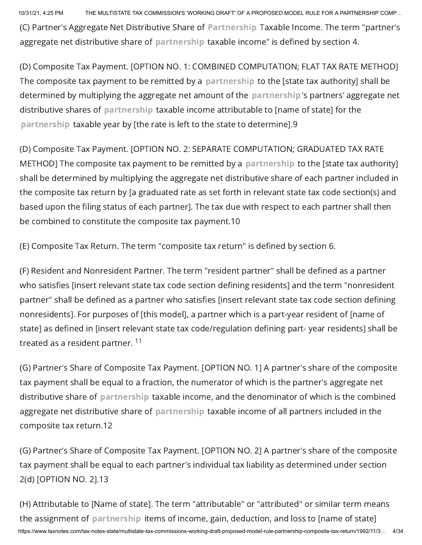(C) Partner's Aggregate Net Distributive Share of Partnership Taxable Income. The term "partner's aggregate net distributive share of partnership taxable income" is defined by section 4.

(D) Composite Tax Payment. [OPTION NO. 1: COMBINED COMPUTATION; FLAT TAX RATE METHOD] The composite tax payment to be remitted by a partnership to the [state tax authority] shall be determined by multiplying the aggregate net amount of the partnership's partners' aggregate net distributive shares of partnership taxable income attributable to [name of state] for the partnership taxable year by [the rate is left to the state to determine].9

(D) Composite Tax Payment. [OPTION NO. 2: SEPARATE COMPUTATION; GRADUATED TAX RATE METHOD] The composite tax payment to be remitted by a partnership to the [state tax authority] shall be determined by multiplying the aggregate net distributive share of each partner included in the composite tax return by [a graduated rate as set forth in relevant state tax code section(s) and based upon the filing status of each partner]. The tax due with respect to each partner shall then be combined to constitute the composite tax payment.10

(E) Composite Tax Return. The term "composite tax return" is defined by section 6.

(F) Resident and Nonresident Partner. The term "resident partner" shall be defined as a partner who satisfies [insert relevant state tax code section defining residents] and the term "nonresident partner" shall be defined as a partner who satisfies [insert relevant state tax code section defining nonresidents]. For purposes of [this model], a partner which is a part-year resident of [name of state] as defined in [insert relevant state tax code/regulation defining part- year residents] shall be treated as a resident partner. <sup>11</sup>

(G) Partner's Share of Composite Tax Payment. [OPTION NO. 1] A partner's share of the composite tax payment shall be equal to a fraction, the numerator of which is the partner's aggregate net distributive share of partnership taxable income, and the denominator of which is the combined aggregate net distributive share of partnership taxable income of all partners included in the composite tax return.12

(G) Partner's Share of Composite Tax Payment. [OPTION NO. 2] A partner's share of the composite tax payment shall be equal to each partner's individual tax liability as determined under section 2(d) [OPTION NO. 2].13

https://www.taxnotes.com/tax-notes-state/multistate-tax-commissions-working-draft-proposed-model-rule-partnership-composite-tax-return/1992/11/3… 4/34 (H) Attributable to [Name of state]. The term "attributable" or "attributed" or similar term means the assignment of partnership items of income, gain, deduction, and loss to [name of state]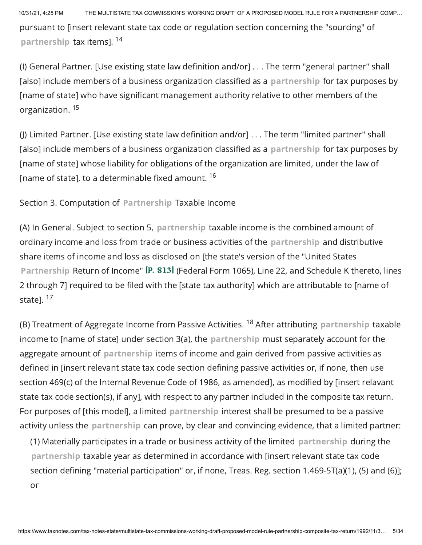10/31/21, 4:25 PM THE MULTISTATE TAX COMMISSION'S 'WORKING DRAFT' OF A PROPOSED MODEL RULE FOR A PARTNERSHIP COMP… pursuant to [insert relevant state tax code or regulation section concerning the "sourcing" of partnership tax items]. <sup>14</sup>

(I) General Partner. [Use existing state law definition and/or] . . . The term "general partner" shall [also] include members of a business organization classified as a partnership for tax purposes by [name of state] who have significant management authority relative to other members of the organization. 15

(J) Limited Partner. [Use existing state law definition and/or] . . . The term "limited partner" shall [also] include members of a business organization classified as a partnership for tax purposes by [name of state] whose liability for obligations of the organization are limited, under the law of [name of state], to a determinable fixed amount. 16

Section 3. Computation of Partnership Taxable Income

(A) In General. Subject to section 5, partnership taxable income is the combined amount of ordinary income and loss from trade or business activities of the partnership and distributive share items of income and loss as disclosed on [the state's version of the "United States Partnership Return of Income" [P. 813] (Federal Form 1065), Line 22, and Schedule K thereto, lines 2 through 7] required to be filed with the [state tax authority] which are attributable to [name of state]. <sup>17</sup>

(B) Treatment of Aggregate Income from Passive Activities. <sup>18</sup> After attributing partnership taxable income to [name of state] under section 3(a), the partnership must separately account for the aggregate amount of partnership items of income and gain derived from passive activities as defined in [insert relevant state tax code section defining passive activities or, if none, then use section 469(c) of the Internal Revenue Code of 1986, as amended], as modified by [insert relavant state tax code section(s), if any], with respect to any partner included in the composite tax return. For purposes of [this model], a limited partnership interest shall be presumed to be a passive activity unless the partnership can prove, by clear and convincing evidence, that a limited partner:

(1) Materially participates in a trade or business activity of the limited partnership during the partnership taxable year as determined in accordance with [insert relevant state tax code section defining "material participation" or, if none, Treas. Reg. section 1.469-5T(a)(1), (5) and (6)]; or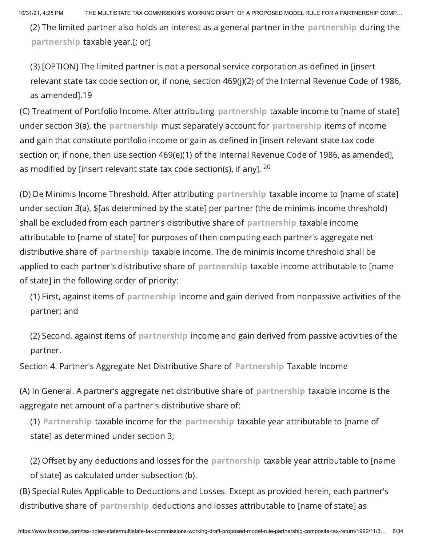(2) The limited partner also holds an interest as a general partner in the partnership during the partnership taxable year.[; or]

(3) [OPTION] The limited partner is not a personal service corporation as defined in [insert relevant state tax code section or, if none, section 469(j)(2) of the Internal Revenue Code of 1986, as amended].19

(C) Treatment of Portfolio Income. After attributing partnership taxable income to [name of state] under section 3(a), the partnership must separately account for partnership items of income and gain that constitute portfolio income or gain as defined in [insert relevant state tax code section or, if none, then use section 469(e)(1) of the Internal Revenue Code of 1986, as amended], as modified by [insert relevant state tax code section(s), if any].  $^{\mathsf{20}}$ 

(D) De Minimis Income Threshold. After attributing partnership taxable income to [name of state] under section 3(a), \$[as determined by the state] per partner (the de minimis income threshold) shall be excluded from each partner's distributive share of partnership taxable income attributable to [name of state] for purposes of then computing each partner's aggregate net distributive share of partnership taxable income. The de minimis income threshold shall be applied to each partner's distributive share of partnership taxable income attributable to [name of state] in the following order of priority:

(1) First, against items of partnership income and gain derived from nonpassive activities of the partner; and

(2) Second, against items of partnership income and gain derived from passive activities of the partner.

Section 4. Partner's Aggregate Net Distributive Share of Partnership Taxable Income

(A) In General. A partner's aggregate net distributive share of partnership taxable income is the aggregate net amount of a partner's distributive share of:

(1) Partnership taxable income for the partnership taxable year attributable to [name of state] as determined under section 3;

(2) Offset by any deductions and losses for the partnership taxable year attributable to [name of state] as calculated under subsection (b).

(B) Special Rules Applicable to Deductions and Losses. Except as provided herein, each partner's distributive share of partnership deductions and losses attributable to [name of state] as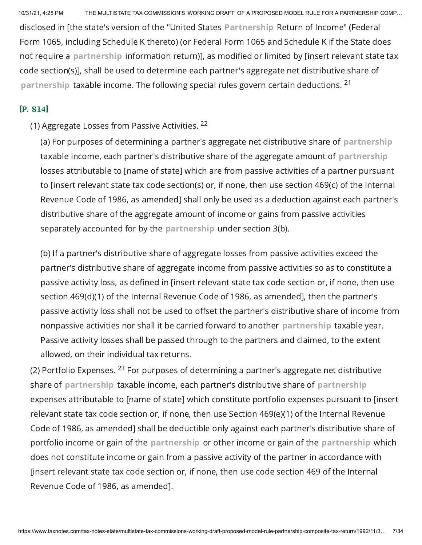disclosed in [the state's version of the "United States Partnership Return of Income" (Federal Form 1065, including Schedule K thereto) (or Federal Form 1065 and Schedule K if the State does not require a partnership information return)], as modified or limited by [insert relevant state tax code section(s)], shall be used to determine each partner's aggregate net distributive share of partnership taxable income. The following special rules govern certain deductions. <sup>21</sup>

#### $[P. 814]$

### (1) Aggregate Losses from Passive Activities. <sup>22</sup>

(a) For purposes of determining a partner's aggregate net distributive share of partnership taxable income, each partner's distributive share of the aggregate amount of partnership losses attributable to [name of state] which are from passive activities of a partner pursuant to [insert relevant state tax code section(s) or, if none, then use section 469(c) of the Internal Revenue Code of 1986, as amended] shall only be used as a deduction against each partner's distributive share of the aggregate amount of income or gains from passive activities separately accounted for by the partnership under section 3(b).

(b) If a partner's distributive share of aggregate losses from passive activities exceed the partner's distributive share of aggregate income from passive activities so as to constitute a passive activity loss, as defined in [insert relevant state tax code section or, if none, then use section 469(d)(1) of the Internal Revenue Code of 1986, as amended], then the partner's passive activity loss shall not be used to offset the partner's distributive share of income from nonpassive activities nor shall it be carried forward to another partnership taxable year. Passive activity losses shall be passed through to the partners and claimed, to the extent allowed, on their individual tax returns.

(2) Portfolio Expenses.  $^{23}$  For purposes of determining a partner's aggregate net distributive share of partnership taxable income, each partner's distributive share of partnership expenses attributable to [name of state] which constitute portfolio expenses pursuant to [insert relevant state tax code section or, if none, then use Section 469(e)(1) of the Internal Revenue Code of 1986, as amended] shall be deductible only against each partner's distributive share of portfolio income or gain of the partnership or other income or gain of the partnership which does not constitute income or gain from a passive activity of the partner in accordance with [insert relevant state tax code section or, if none, then use code section 469 of the Internal Revenue Code of 1986, as amended].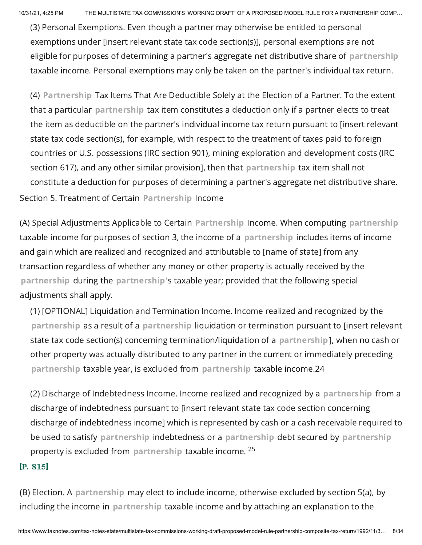(3) Personal Exemptions. Even though a partner may otherwise be entitled to personal exemptions under [insert relevant state tax code section(s)], personal exemptions are not eligible for purposes of determining a partner's aggregate net distributive share of partnership taxable income. Personal exemptions may only be taken on the partner's individual tax return.

(4) Partnership Tax Items That Are Deductible Solely at the Election of a Partner. To the extent that a particular partnership tax item constitutes a deduction only if a partner elects to treat the item as deductible on the partner's individual income tax return pursuant to [insert relevant state tax code section(s), for example, with respect to the treatment of taxes paid to foreign countries or U.S. possessions (IRC section 901), mining exploration and development costs (IRC section 617), and any other similar provision], then that partnership tax item shall not constitute a deduction for purposes of determining a partner's aggregate net distributive share. Section 5. Treatment of Certain Partnership Income

(A) Special Adjustments Applicable to Certain Partnership Income. When computing partnership taxable income for purposes of section 3, the income of a partnership includes items of income and gain which are realized and recognized and attributable to [name of state] from any transaction regardless of whether any money or other property is actually received by the partnership during the partnership's taxable year; provided that the following special adjustments shall apply.

(1) [OPTIONAL] Liquidation and Termination Income. Income realized and recognized by the partnership as a result of a partnership liquidation or termination pursuant to [insert relevant state tax code section(s) concerning termination/liquidation of a partnership], when no cash or other property was actually distributed to any partner in the current or immediately preceding partnership taxable year, is excluded from partnership taxable income.24

(2) Discharge of Indebtedness Income. Income realized and recognized by a partnership from a discharge of indebtedness pursuant to [insert relevant state tax code section concerning discharge of indebtedness income] which is represented by cash or a cash receivable required to be used to satisfy partnership indebtedness or a partnership debt secured by partnership property is excluded from partnership taxable income. <sup>25</sup>

#### $[P. 815]$

(B) Election. A partnership may elect to include income, otherwise excluded by section 5(a), by including the income in partnership taxable income and by attaching an explanation to the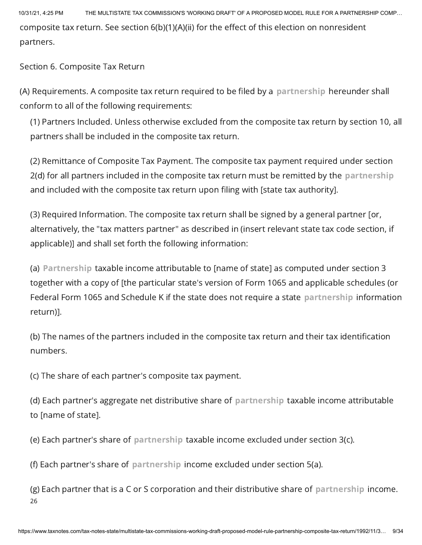10/31/21, 4:25 PM THE MULTISTATE TAX COMMISSION'S 'WORKING DRAFT' OF A PROPOSED MODEL RULE FOR A PARTNERSHIP COMP… composite tax return. See section 6(b)(1)(A)(ii) for the effect of this election on nonresident partners.

Section 6. Composite Tax Return

(A) Requirements. A composite tax return required to be filed by a partnership hereunder shall conform to all of the following requirements:

(1) Partners Included. Unless otherwise excluded from the composite tax return by section 10, all partners shall be included in the composite tax return.

(2) Remittance of Composite Tax Payment. The composite tax payment required under section 2(d) for all partners included in the composite tax return must be remitted by the partnership and included with the composite tax return upon filing with [state tax authority].

(3) Required Information. The composite tax return shall be signed by a general partner [or, alternatively, the "tax matters partner" as described in (insert relevant state tax code section, if applicable)] and shall set forth the following information:

(a) Partnership taxable income attributable to [name of state] as computed under section 3 together with a copy of [the particular state's version of Form 1065 and applicable schedules (or Federal Form 1065 and Schedule K if the state does not require a state partnership information return)].

(b) The names of the partners included in the composite tax return and their tax identification numbers.

(c) The share of each partner's composite tax payment.

(d) Each partner's aggregate net distributive share of partnership taxable income attributable to [name of state].

(e) Each partner's share of partnership taxable income excluded under section 3(c).

(f) Each partner's share of partnership income excluded under section 5(a).

(g) Each partner that is a C or S corporation and their distributive share of partnership income. 26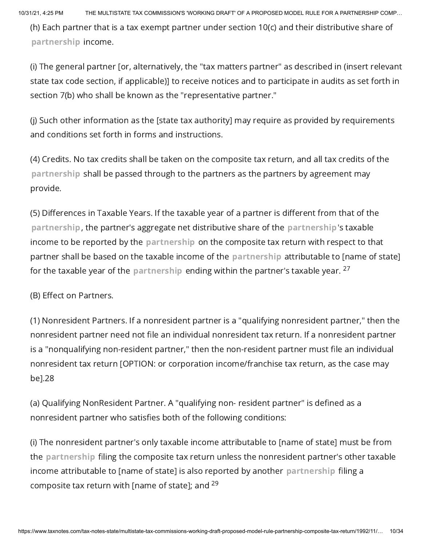(h) Each partner that is a tax exempt partner under section 10(c) and their distributive share of partnership income.

(i) The general partner [or, alternatively, the "tax matters partner" as described in (insert relevant state tax code section, if applicable)] to receive notices and to participate in audits as set forth in section 7(b) who shall be known as the "representative partner."

(j) Such other information as the [state tax authority] may require as provided by requirements and conditions set forth in forms and instructions.

(4) Credits. No tax credits shall be taken on the composite tax return, and all tax credits of the partnership shall be passed through to the partners as the partners by agreement may provide.

(5) Differences in Taxable Years. If the taxable year of a partner is different from that of the partnership, the partner's aggregate net distributive share of the partnership's taxable income to be reported by the partnership on the composite tax return with respect to that partner shall be based on the taxable income of the partnership attributable to [name of state] for the taxable year of the  $\,$ partnershi $\,$ p ending within the partner's taxable year.  $^{27}$ 

(B) Effect on Partners.

(1) Nonresident Partners. If a nonresident partner is a "qualifying nonresident partner," then the nonresident partner need not file an individual nonresident tax return. If a nonresident partner is a "nonqualifying non-resident partner," then the non-resident partner must file an individual nonresident tax return [OPTION: or corporation income/franchise tax return, as the case may be].28

(a) Qualifying NonResident Partner. A "qualifying non- resident partner" is defined as a nonresident partner who satisfies both of the following conditions:

(i) The nonresident partner's only taxable income attributable to [name of state] must be from the partnership filing the composite tax return unless the nonresident partner's other taxable income attributable to [name of state] is also reported by another partnership filing a composite tax return with [name of state]; and <sup>29</sup>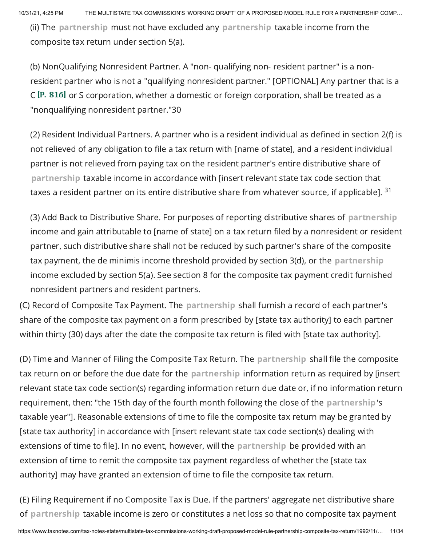(ii) The partnership must not have excluded any partnership taxable income from the composite tax return under section 5(a).

(b) NonQualifying Nonresident Partner. A "non- qualifying non- resident partner" is a nonresident partner who is not a "qualifying nonresident partner." [OPTIONAL] Any partner that is a  $C$  [P. 816] or S corporation, whether a domestic or foreign corporation, shall be treated as a "nonqualifying nonresident partner."30

(2) Resident Individual Partners. A partner who is a resident individual as defined in section 2(f) is not relieved of any obligation to file a tax return with [name of state], and a resident individual partner is not relieved from paying tax on the resident partner's entire distributive share of partnership taxable income in accordance with [insert relevant state tax code section that taxes a resident partner on its entire distributive share from whatever source, if applicable].  $^{\text{31}}$ 

(3) Add Back to Distributive Share. For purposes of reporting distributive shares of partnership income and gain attributable to [name of state] on a tax return filed by a nonresident or resident partner, such distributive share shall not be reduced by such partner's share of the composite tax payment, the de minimis income threshold provided by section 3(d), or the partnership income excluded by section 5(a). See section 8 for the composite tax payment credit furnished nonresident partners and resident partners.

(C) Record of Composite Tax Payment. The partnership shall furnish a record of each partner's share of the composite tax payment on a form prescribed by [state tax authority] to each partner within thirty (30) days after the date the composite tax return is filed with [state tax authority].

(D) Time and Manner of Filing the Composite Tax Return. The partnership shall file the composite tax return on or before the due date for the partnership information return as required by [insert relevant state tax code section(s) regarding information return due date or, if no information return requirement, then: "the 15th day of the fourth month following the close of the partnership's taxable year"]. Reasonable extensions of time to file the composite tax return may be granted by [state tax authority] in accordance with [insert relevant state tax code section(s) dealing with extensions of time to file]. In no event, however, will the partnership be provided with an extension of time to remit the composite tax payment regardless of whether the [state tax authority] may have granted an extension of time to file the composite tax return.

(E) Filing Requirement if no Composite Tax is Due. If the partners' aggregate net distributive share of partnership taxable income is zero or constitutes a net loss so that no composite tax payment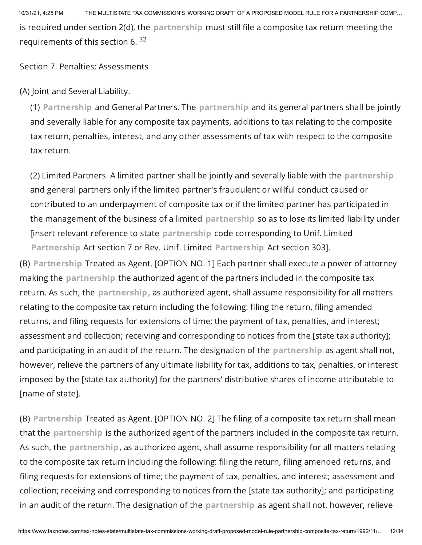10/31/21, 4:25 PM THE MULTISTATE TAX COMMISSION'S 'WORKING DRAFT' OF A PROPOSED MODEL RULE FOR A PARTNERSHIP COMP… is required under section 2(d), the partnership must still file a composite tax return meeting the requirements of this section 6. <sup>32</sup>

Section 7. Penalties; Assessments

(A) Joint and Several Liability.

(1) Partnership and General Partners. The partnership and its general partners shall be jointly and severally liable for any composite tax payments, additions to tax relating to the composite tax return, penalties, interest, and any other assessments of tax with respect to the composite tax return.

(2) Limited Partners. A limited partner shall be jointly and severally liable with the partnership and general partners only if the limited partner's fraudulent or willful conduct caused or contributed to an underpayment of composite tax or if the limited partner has participated in the management of the business of a limited partnership so as to lose its limited liability under [insert relevant reference to state partnership code corresponding to Unif. Limited Partnership Act section 7 or Rev. Unif. Limited Partnership Act section 303].

(B) Partnership Treated as Agent. [OPTION NO. 1] Each partner shall execute a power of attorney making the partnership the authorized agent of the partners included in the composite tax return. As such, the partnership, as authorized agent, shall assume responsibility for all matters relating to the composite tax return including the following: filing the return, filing amended returns, and filing requests for extensions of time; the payment of tax, penalties, and interest; assessment and collection; receiving and corresponding to notices from the [state tax authority]; and participating in an audit of the return. The designation of the partnership as agent shall not, however, relieve the partners of any ultimate liability for tax, additions to tax, penalties, or interest imposed by the [state tax authority] for the partners' distributive shares of income attributable to [name of state].

(B) Partnership Treated as Agent. [OPTION NO. 2] The filing of a composite tax return shall mean that the partnership is the authorized agent of the partners included in the composite tax return. As such, the partnership, as authorized agent, shall assume responsibility for all matters relating to the composite tax return including the following: filing the return, filing amended returns, and filing requests for extensions of time; the payment of tax, penalties, and interest; assessment and collection; receiving and corresponding to notices from the [state tax authority]; and participating in an audit of the return. The designation of the partnership as agent shall not, however, relieve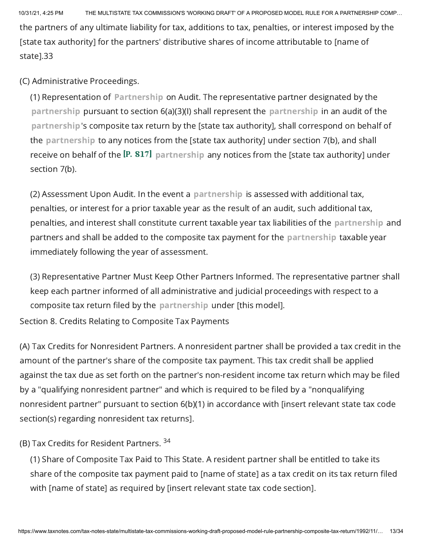10/31/21, 4:25 PM THE MULTISTATE TAX COMMISSION'S 'WORKING DRAFT' OF A PROPOSED MODEL RULE FOR A PARTNERSHIP COMP… the partners of any ultimate liability for tax, additions to tax, penalties, or interest imposed by the [state tax authority] for the partners' distributive shares of income attributable to [name of state].33

(C) Administrative Proceedings.

(1) Representation of Partnership on Audit. The representative partner designated by the partnership pursuant to section 6(a)(3)(I) shall represent the partnership in an audit of the partnership's composite tax return by the [state tax authority], shall correspond on behalf of the partnership to any notices from the [state tax authority] under section 7(b), and shall receive on behalf of the  $[P. 817]$  partnership any notices from the [state tax authority] under section 7(b).

(2) Assessment Upon Audit. In the event a partnership is assessed with additional tax, penalties, or interest for a prior taxable year as the result of an audit, such additional tax, penalties, and interest shall constitute current taxable year tax liabilities of the partnership and partners and shall be added to the composite tax payment for the partnership taxable year immediately following the year of assessment.

(3) Representative Partner Must Keep Other Partners Informed. The representative partner shall keep each partner informed of all administrative and judicial proceedings with respect to a composite tax return filed by the partnership under [this model].

Section 8. Credits Relating to Composite Tax Payments

(A) Tax Credits for Nonresident Partners. A nonresident partner shall be provided a tax credit in the amount of the partner's share of the composite tax payment. This tax credit shall be applied against the tax due as set forth on the partner's non-resident income tax return which may be filed by a "qualifying nonresident partner" and which is required to be filed by a "nonqualifying nonresident partner" pursuant to section 6(b)(1) in accordance with [insert relevant state tax code section(s) regarding nonresident tax returns].

(B) Tax Credits for Resident Partners. <sup>34</sup>

(1) Share of Composite Tax Paid to This State. A resident partner shall be entitled to take its share of the composite tax payment paid to [name of state] as a tax credit on its tax return filed with [name of state] as required by [insert relevant state tax code section].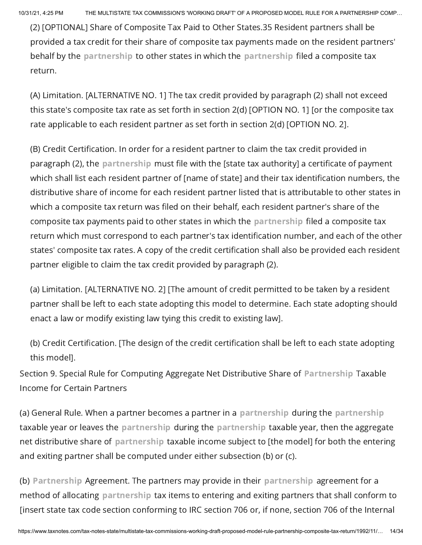(2) [OPTIONAL] Share of Composite Tax Paid to Other States.35 Resident partners shall be provided a tax credit for their share of composite tax payments made on the resident partners' behalf by the partnership to other states in which the partnership filed a composite tax return.

(A) Limitation. [ALTERNATIVE NO. 1] The tax credit provided by paragraph (2) shall not exceed this state's composite tax rate as set forth in section 2(d) [OPTION NO. 1] [or the composite tax rate applicable to each resident partner as set forth in section 2(d) [OPTION NO. 2].

(B) Credit Certification. In order for a resident partner to claim the tax credit provided in paragraph (2), the partnership must file with the [state tax authority] a certificate of payment which shall list each resident partner of [name of state] and their tax identification numbers, the distributive share of income for each resident partner listed that is attributable to other states in which a composite tax return was filed on their behalf, each resident partner's share of the composite tax payments paid to other states in which the partnership filed a composite tax return which must correspond to each partner's tax identification number, and each of the other states' composite tax rates. A copy of the credit certification shall also be provided each resident partner eligible to claim the tax credit provided by paragraph (2).

(a) Limitation. [ALTERNATIVE NO. 2] [The amount of credit permitted to be taken by a resident partner shall be left to each state adopting this model to determine. Each state adopting should enact a law or modify existing law tying this credit to existing law].

(b) Credit Certification. [The design of the credit certification shall be left to each state adopting this model].

Section 9. Special Rule for Computing Aggregate Net Distributive Share of Partnership Taxable Income for Certain Partners

(a) General Rule. When a partner becomes a partner in a partnership during the partnership taxable year or leaves the partnership during the partnership taxable year, then the aggregate net distributive share of partnership taxable income subject to [the model] for both the entering and exiting partner shall be computed under either subsection (b) or (c).

(b) Partnership Agreement. The partners may provide in their partnership agreement for a method of allocating partnership tax items to entering and exiting partners that shall conform to [insert state tax code section conforming to IRC section 706 or, if none, section 706 of the Internal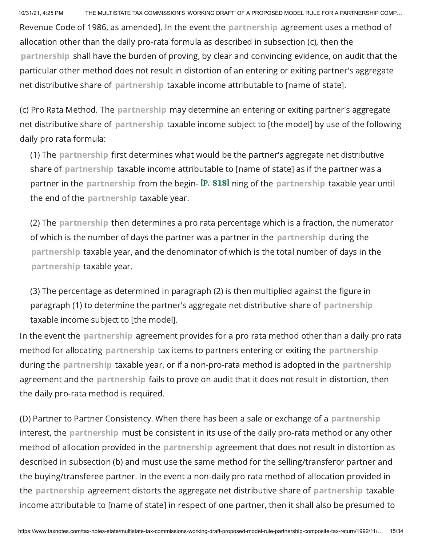Revenue Code of 1986, as amended]. In the event the partnership agreement uses a method of allocation other than the daily pro-rata formula as described in subsection (c), then the partnership shall have the burden of proving, by clear and convincing evidence, on audit that the particular other method does not result in distortion of an entering or exiting partner's aggregate net distributive share of partnership taxable income attributable to [name of state].

(c) Pro Rata Method. The partnership may determine an entering or exiting partner's aggregate net distributive share of partnership taxable income subject to [the model] by use of the following daily pro rata formula:

(1) The partnership first determines what would be the partner's aggregate net distributive share of partnership taxable income attributable to [name of state] as if the partner was a partner in the partnership from the begin- IP. 818] ning of the partnership taxable year until the end of the partnership taxable year.

(2) The partnership then determines a pro rata percentage which is a fraction, the numerator of which is the number of days the partner was a partner in the partnership during the partnership taxable year, and the denominator of which is the total number of days in the partnership taxable year.

(3) The percentage as determined in paragraph (2) is then multiplied against the figure in paragraph (1) to determine the partner's aggregate net distributive share of partnership taxable income subject to [the model].

In the event the partnership agreement provides for a pro rata method other than a daily pro rata method for allocating partnership tax items to partners entering or exiting the partnership during the partnership taxable year, or if a non-pro-rata method is adopted in the partnership agreement and the partnership fails to prove on audit that it does not result in distortion, then the daily pro-rata method is required.

(D) Partner to Partner Consistency. When there has been a sale or exchange of a partnership interest, the partnership must be consistent in its use of the daily pro-rata method or any other method of allocation provided in the partnership agreement that does not result in distortion as described in subsection (b) and must use the same method for the selling/transferor partner and the buying/transferee partner. In the event a non-daily pro rata method of allocation provided in the partnership agreement distorts the aggregate net distributive share of partnership taxable income attributable to [name of state] in respect of one partner, then it shall also be presumed to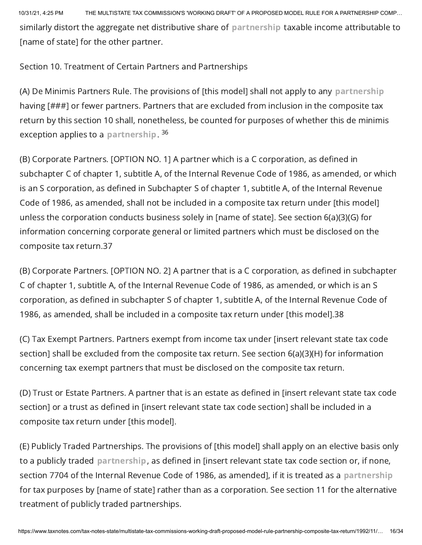10/31/21, 4:25 PM THE MULTISTATE TAX COMMISSION'S 'WORKING DRAFT' OF A PROPOSED MODEL RULE FOR A PARTNERSHIP COMP… similarly distort the aggregate net distributive share of partnership taxable income attributable to [name of state] for the other partner.

Section 10. Treatment of Certain Partners and Partnerships

(A) De Minimis Partners Rule. The provisions of [this model] shall not apply to any partnership having [###] or fewer partners. Partners that are excluded from inclusion in the composite tax return by this section 10 shall, nonetheless, be counted for purposes of whether this de minimis exception applies to a partnership. <sup>36</sup>

(B) Corporate Partners. [OPTION NO. 1] A partner which is a C corporation, as defined in subchapter C of chapter 1, subtitle A, of the Internal Revenue Code of 1986, as amended, or which is an S corporation, as defined in Subchapter S of chapter 1, subtitle A, of the Internal Revenue Code of 1986, as amended, shall not be included in a composite tax return under [this model] unless the corporation conducts business solely in [name of state]. See section 6(a)(3)(G) for information concerning corporate general or limited partners which must be disclosed on the composite tax return.37

(B) Corporate Partners. [OPTION NO. 2] A partner that is a C corporation, as defined in subchapter C of chapter 1, subtitle A, of the Internal Revenue Code of 1986, as amended, or which is an S corporation, as defined in subchapter S of chapter 1, subtitle A, of the Internal Revenue Code of 1986, as amended, shall be included in a composite tax return under [this model].38

(C) Tax Exempt Partners. Partners exempt from income tax under [insert relevant state tax code section] shall be excluded from the composite tax return. See section 6(a)(3)(H) for information concerning tax exempt partners that must be disclosed on the composite tax return.

(D) Trust or Estate Partners. A partner that is an estate as defined in [insert relevant state tax code section] or a trust as defined in [insert relevant state tax code section] shall be included in a composite tax return under [this model].

(E) Publicly Traded Partnerships. The provisions of [this model] shall apply on an elective basis only to a publicly traded partnership, as defined in [insert relevant state tax code section or, if none, section 7704 of the Internal Revenue Code of 1986, as amended], if it is treated as a partnership for tax purposes by [name of state] rather than as a corporation. See section 11 for the alternative treatment of publicly traded partnerships.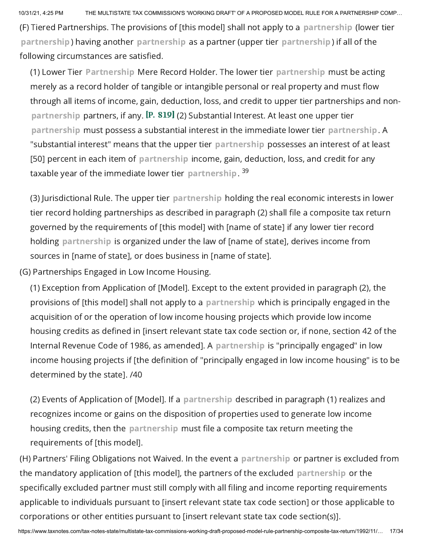(F) Tiered Partnerships. The provisions of [this model] shall not apply to a partnership (lower tier partnership) having another partnership as a partner (upper tier partnership) if all of the following circumstances are satisfied.

(1) Lower Tier Partnership Mere Record Holder. The lower tier partnership must be acting merely as a record holder of tangible or intangible personal or real property and must flow through all items of income, gain, deduction, loss, and credit to upper tier partnerships and nonpartnership partners, if any.  $[P. 819]$  (2) Substantial Interest. At least one upper tier partnership must possess a substantial interest in the immediate lower tier partnership. A "substantial interest" means that the upper tier partnership possesses an interest of at least [50] percent in each item of partnership income, gain, deduction, loss, and credit for any taxable year of the immediate lower tier <code>partnership.</code>  $^{39}$ 

(3) Jurisdictional Rule. The upper tier partnership holding the real economic interests in lower tier record holding partnerships as described in paragraph (2) shall file a composite tax return governed by the requirements of [this model] with [name of state] if any lower tier record holding partnership is organized under the law of [name of state], derives income from sources in [name of state], or does business in [name of state].

(G) Partnerships Engaged in Low Income Housing.

(1) Exception from Application of [Model]. Except to the extent provided in paragraph (2), the provisions of [this model] shall not apply to a partnership which is principally engaged in the acquisition of or the operation of low income housing projects which provide low income housing credits as defined in [insert relevant state tax code section or, if none, section 42 of the Internal Revenue Code of 1986, as amended]. A partnership is "principally engaged" in low income housing projects if [the definition of "principally engaged in low income housing" is to be determined by the state]. /40

(2) Events of Application of [Model]. If a partnership described in paragraph (1) realizes and recognizes income or gains on the disposition of properties used to generate low income housing credits, then the partnership must file a composite tax return meeting the requirements of [this model].

(H) Partners' Filing Obligations not Waived. In the event a partnership or partner is excluded from the mandatory application of [this model], the partners of the excluded partnership or the specifically excluded partner must still comply with all filing and income reporting requirements applicable to individuals pursuant to [insert relevant state tax code section] or those applicable to corporations or other entities pursuant to [insert relevant state tax code section(s)].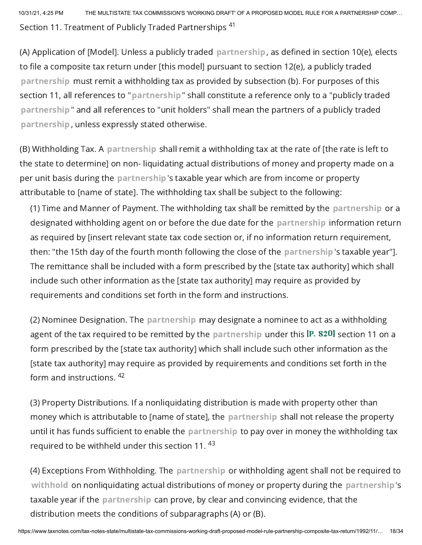10/31/21, 4:25 PM THE MULTISTATE TAX COMMISSION'S 'WORKING DRAFT' OF A PROPOSED MODEL RULE FOR A PARTNERSHIP COMP… Section 11. Treatment of Publicly Traded Partnerships <sup>41</sup>

(A) Application of [Model]. Unless a publicly traded partnership, as defined in section 10(e), elects to file a composite tax return under [this model] pursuant to section 12(e), a publicly traded partnership must remit a withholding tax as provided by subsection (b). For purposes of this section 11, all references to "partnership" shall constitute a reference only to a "publicly traded partnership" and all references to "unit holders" shall mean the partners of a publicly traded partnership, unless expressly stated otherwise.

(B) Withholding Tax. A partnership shall remit a withholding tax at the rate of [the rate is left to the state to determine] on non- liquidating actual distributions of money and property made on a per unit basis during the partnership's taxable year which are from income or property attributable to [name of state]. The withholding tax shall be subject to the following:

(1) Time and Manner of Payment. The withholding tax shall be remitted by the partnership or a designated withholding agent on or before the due date for the partnership information return as required by [insert relevant state tax code section or, if no information return requirement, then: "the 15th day of the fourth month following the close of the partnership's taxable year"]. The remittance shall be included with a form prescribed by the [state tax authority] which shall include such other information as the [state tax authority] may require as provided by requirements and conditions set forth in the form and instructions.

(2) Nominee Designation. The partnership may designate a nominee to act as a withholding agent of the tax required to be remitted by the partnership under this  $[P. 820]$  section 11 on a form prescribed by the [state tax authority] which shall include such other information as the [state tax authority] may require as provided by requirements and conditions set forth in the form and instructions. <sup>42</sup>

(3) Property Distributions. If a nonliquidating distribution is made with property other than money which is attributable to [name of state], the partnership shall not release the property until it has funds sufficient to enable the partnership to pay over in money the withholding tax required to be withheld under this section 11.  $^{43}$ 

(4) Exceptions From Withholding. The partnership or withholding agent shall not be required to withhold on nonliquidating actual distributions of money or property during the partnership's taxable year if the partnership can prove, by clear and convincing evidence, that the distribution meets the conditions of subparagraphs (A) or (B).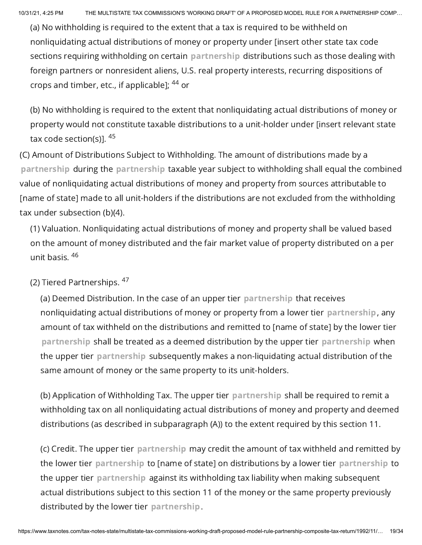(a) No withholding is required to the extent that a tax is required to be withheld on nonliquidating actual distributions of money or property under [insert other state tax code sections requiring withholding on certain partnership distributions such as those dealing with foreign partners or nonresident aliens, U.S. real property interests, recurring dispositions of crops and timber, etc., if applicable]; <sup>44</sup> or

(b) No withholding is required to the extent that nonliquidating actual distributions of money or property would not constitute taxable distributions to a unit-holder under [insert relevant state tax code section(s)]. <sup>45</sup>

(C) Amount of Distributions Subject to Withholding. The amount of distributions made by a partnership during the partnership taxable year subject to withholding shall equal the combined value of nonliquidating actual distributions of money and property from sources attributable to [name of state] made to all unit-holders if the distributions are not excluded from the withholding tax under subsection (b)(4).

(1) Valuation. Nonliquidating actual distributions of money and property shall be valued based on the amount of money distributed and the fair market value of property distributed on a per unit basis. 46

(2) Tiered Partnerships. <sup>47</sup>

(a) Deemed Distribution. In the case of an upper tier partnership that receives nonliquidating actual distributions of money or property from a lower tier partnership, any amount of tax withheld on the distributions and remitted to [name of state] by the lower tier partnership shall be treated as a deemed distribution by the upper tier partnership when the upper tier partnership subsequently makes a non-liquidating actual distribution of the same amount of money or the same property to its unit-holders.

(b) Application of Withholding Tax. The upper tier partnership shall be required to remit a withholding tax on all nonliquidating actual distributions of money and property and deemed distributions (as described in subparagraph (A)) to the extent required by this section 11.

(c) Credit. The upper tier partnership may credit the amount of tax withheld and remitted by the lower tier partnership to [name of state] on distributions by a lower tier partnership to the upper tier partnership against its withholding tax liability when making subsequent actual distributions subject to this section 11 of the money or the same property previously distributed by the lower tier partnership.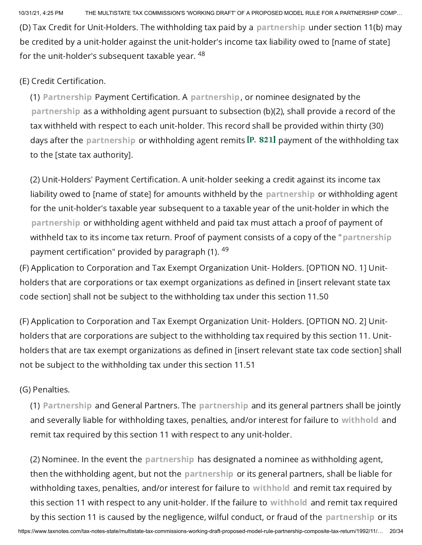(D) Tax Credit for Unit-Holders. The withholding tax paid by a partnership under section 11(b) may be credited by a unit-holder against the unit-holder's income tax liability owed to [name of state] for the unit-holder's subsequent taxable year.  $^{48}$ 

#### (E) Credit Certification.

(1) Partnership Payment Certification. A partnership, or nominee designated by the partnership as a withholding agent pursuant to subsection (b)(2), shall provide a record of the tax withheld with respect to each unit-holder. This record shall be provided within thirty (30) days after the partnership or withholding agent remits  $\left[$ P. 821] payment of the withholding tax to the [state tax authority].

(2) Unit-Holders' Payment Certification. A unit-holder seeking a credit against its income tax liability owed to [name of state] for amounts withheld by the partnership or withholding agent for the unit-holder's taxable year subsequent to a taxable year of the unit-holder in which the partnership or withholding agent withheld and paid tax must attach a proof of payment of withheld tax to its income tax return. Proof of payment consists of a copy of the "partnership payment certification" provided by paragraph (1). <sup>49</sup>

(F) Application to Corporation and Tax Exempt Organization Unit- Holders. [OPTION NO. 1] Unitholders that are corporations or tax exempt organizations as defined in [insert relevant state tax code section] shall not be subject to the withholding tax under this section 11.50

(F) Application to Corporation and Tax Exempt Organization Unit- Holders. [OPTION NO. 2] Unitholders that are corporations are subject to the withholding tax required by this section 11. Unitholders that are tax exempt organizations as defined in [insert relevant state tax code section] shall not be subject to the withholding tax under this section 11.51

#### (G) Penalties.

(1) Partnership and General Partners. The partnership and its general partners shall be jointly and severally liable for withholding taxes, penalties, and/or interest for failure to withhold and remit tax required by this section 11 with respect to any unit-holder.

(2) Nominee. In the event the partnership has designated a nominee as withholding agent, then the withholding agent, but not the partnership or its general partners, shall be liable for withholding taxes, penalties, and/or interest for failure to withhold and remit tax required by this section 11 with respect to any unit-holder. If the failure to withhold and remit tax required by this section 11 is caused by the negligence, wilful conduct, or fraud of the partnership or its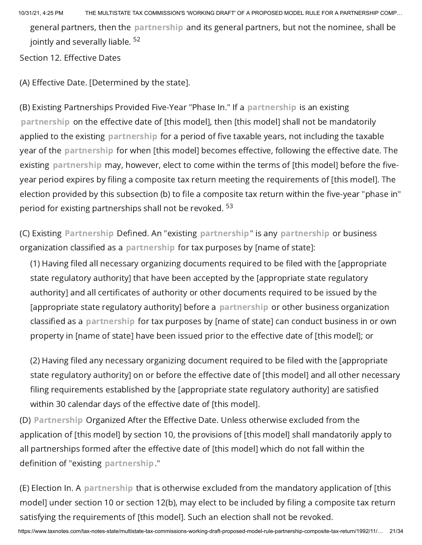10/31/21, 4:25 PM THE MULTISTATE TAX COMMISSION'S 'WORKING DRAFT' OF A PROPOSED MODEL RULE FOR A PARTNERSHIP COMP… general partners, then the partnership and its general partners, but not the nominee, shall be jointly and severally liable. <sup>52</sup>

Section 12. Effective Dates

(A) Effective Date. [Determined by the state].

(B) Existing Partnerships Provided Five-Year "Phase In." If a partnership is an existing partnership on the effective date of [this model], then [this model] shall not be mandatorily applied to the existing partnership for a period of five taxable years, not including the taxable year of the partnership for when [this model] becomes effective, following the effective date. The existing partnership may, however, elect to come within the terms of [this model] before the fiveyear period expires by filing a composite tax return meeting the requirements of [this model]. The election provided by this subsection (b) to file a composite tax return within the five-year "phase in" period for existing partnerships shall not be revoked. <sup>53</sup>

(C) Existing Partnership Defined. An "existing partnership" is any partnership or business organization classified as a partnership for tax purposes by [name of state]:

(1) Having filed all necessary organizing documents required to be filed with the [appropriate state regulatory authority] that have been accepted by the [appropriate state regulatory authority] and all certificates of authority or other documents required to be issued by the [appropriate state regulatory authority] before a partnership or other business organization classified as a partnership for tax purposes by [name of state] can conduct business in or own property in [name of state] have been issued prior to the effective date of [this model]; or

(2) Having filed any necessary organizing document required to be filed with the [appropriate state regulatory authority] on or before the effective date of [this model] and all other necessary filing requirements established by the [appropriate state regulatory authority] are satisfied within 30 calendar days of the effective date of [this model].

(D) Partnership Organized After the Effective Date. Unless otherwise excluded from the application of [this model] by section 10, the provisions of [this model] shall mandatorily apply to all partnerships formed after the effective date of [this model] which do not fall within the definition of "existing partnership."

(E) Election In. A partnership that is otherwise excluded from the mandatory application of [this model] under section 10 or section 12(b), may elect to be included by filing a composite tax return satisfying the requirements of [this model]. Such an election shall not be revoked.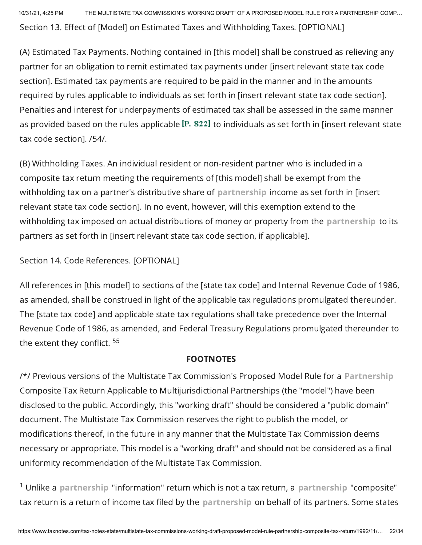10/31/21, 4:25 PM THE MULTISTATE TAX COMMISSION'S 'WORKING DRAFT' OF A PROPOSED MODEL RULE FOR A PARTNERSHIP COMP… Section 13. Effect of [Model] on Estimated Taxes and Withholding Taxes. [OPTIONAL]

(A) Estimated Tax Payments. Nothing contained in [this model] shall be construed as relieving any partner for an obligation to remit estimated tax payments under [insert relevant state tax code section]. Estimated tax payments are required to be paid in the manner and in the amounts required by rules applicable to individuals as set forth in [insert relevant state tax code section]. Penalties and interest for underpayments of estimated tax shall be assessed in the same manner as provided based on the rules applicable  $[1P. 822]$  to individuals as set forth in [insert relevant state tax code section]. /54/.

(B) Withholding Taxes. An individual resident or non-resident partner who is included in a composite tax return meeting the requirements of [this model] shall be exempt from the withholding tax on a partner's distributive share of partnership income as set forth in [insert relevant state tax code section]. In no event, however, will this exemption extend to the withholding tax imposed on actual distributions of money or property from the partnership to its partners as set forth in [insert relevant state tax code section, if applicable].

Section 14. Code References. [OPTIONAL]

All references in [this model] to sections of the [state tax code] and Internal Revenue Code of 1986, as amended, shall be construed in light of the applicable tax regulations promulgated thereunder. The [state tax code] and applicable state tax regulations shall take precedence over the Internal Revenue Code of 1986, as amended, and Federal Treasury Regulations promulgated thereunder to the extent they conflict. <sup>55</sup>

#### FOOTNOTES

/\*/ Previous versions of the Multistate Tax Commission's Proposed Model Rule for a Partnership Composite Tax Return Applicable to Multijurisdictional Partnerships (the "model") have been disclosed to the public. Accordingly, this "working draft" should be considered a "public domain" document. The Multistate Tax Commission reserves the right to publish the model, or modifications thereof, in the future in any manner that the Multistate Tax Commission deems necessary or appropriate. This model is a "working draft" and should not be considered as a final uniformity recommendation of the Multistate Tax Commission.

 $^1$  Unlike a partnership "information" return which is not a tax return, a partnership "composite" tax return is a return of income tax filed by the partnership on behalf of its partners. Some states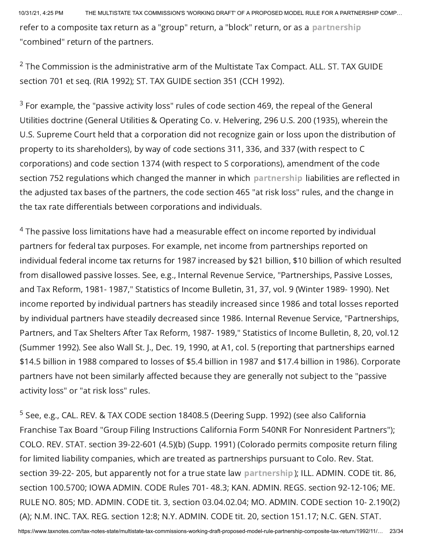refer to a composite tax return as a "group" return, a "block" return, or as a partnership "combined" return of the partners.

 $2$  The Commission is the administrative arm of the Multistate Tax Compact. ALL. ST. TAX GUIDE section 701 et seq. (RIA 1992); ST. TAX GUIDE section 351 (CCH 1992).

 $^3$  For example, the "passive activity loss" rules of code section 469, the repeal of the General Utilities doctrine (General Utilities & Operating Co. v. Helvering, 296 U.S. 200 (1935), wherein the U.S. Supreme Court held that a corporation did not recognize gain or loss upon the distribution of property to its shareholders), by way of code sections 311, 336, and 337 (with respect to C corporations) and code section 1374 (with respect to S corporations), amendment of the code section 752 regulations which changed the manner in which partnership liabilities are reflected in the adjusted tax bases of the partners, the code section 465 "at risk loss" rules, and the change in the tax rate differentials between corporations and individuals.

 $^4$  The passive loss limitations have had a measurable effect on income reported by individual partners for federal tax purposes. For example, net income from partnerships reported on individual federal income tax returns for 1987 increased by \$21 billion, \$10 billion of which resulted from disallowed passive losses. See, e.g., Internal Revenue Service, "Partnerships, Passive Losses, and Tax Reform, 1981- 1987," Statistics of Income Bulletin, 31, 37, vol. 9 (Winter 1989- 1990). Net income reported by individual partners has steadily increased since 1986 and total losses reported by individual partners have steadily decreased since 1986. Internal Revenue Service, "Partnerships, Partners, and Tax Shelters After Tax Reform, 1987- 1989," Statistics of Income Bulletin, 8, 20, vol.12 (Summer 1992). See also Wall St. J., Dec. 19, 1990, at A1, col. 5 (reporting that partnerships earned \$14.5 billion in 1988 compared to losses of \$5.4 billion in 1987 and \$17.4 billion in 1986). Corporate partners have not been similarly affected because they are generally not subject to the "passive activity loss" or "at risk loss" rules.

<sup>5</sup> See, e.g., CAL. REV. & TAX CODE section 18408.5 (Deering Supp. 1992) (see also California Franchise Tax Board "Group Filing Instructions California Form 540NR For Nonresident Partners"); COLO. REV. STAT. section 39-22-601 (4.5)(b) (Supp. 1991) (Colorado permits composite return filing for limited liability companies, which are treated as partnerships pursuant to Colo. Rev. Stat. section 39-22- 205, but apparently not for a true state law partnership); ILL. ADMIN. CODE tit. 86, section 100.5700; IOWA ADMIN. CODE Rules 701- 48.3; KAN. ADMIN. REGS. section 92-12-106; ME. RULE NO. 805; MD. ADMIN. CODE tit. 3, section 03.04.02.04; MO. ADMIN. CODE section 10- 2.190(2) (A); N.M. INC. TAX. REG. section 12:8; N.Y. ADMIN. CODE tit. 20, section 151.17; N.C. GEN. STAT.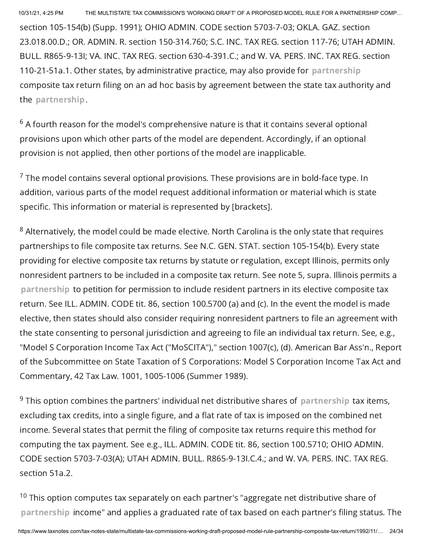section 105-154(b) (Supp. 1991); OHIO ADMIN. CODE section 5703-7-03; OKLA. GAZ. section 23.018.00.D.; OR. ADMIN. R. section 150-314.760; S.C. INC. TAX REG. section 117-76; UTAH ADMIN. BULL. R865-9-13I; VA. INC. TAX REG. section 630-4-391.C.; and W. VA. PERS. INC. TAX REG. section 110-21-51a.1. Other states, by administrative practice, may also provide for partnership composite tax return filing on an ad hoc basis by agreement between the state tax authority and the partnership.

 $^6$  A fourth reason for the model's comprehensive nature is that it contains several optional provisions upon which other parts of the model are dependent. Accordingly, if an optional provision is not applied, then other portions of the model are inapplicable.

 $\rm ^7$  The model contains several optional provisions. These provisions are in bold-face type. In addition, various parts of the model request additional information or material which is state specific. This information or material is represented by [brackets].

 $^8$  Alternatively, the model could be made elective. North Carolina is the only state that requires partnerships to file composite tax returns. See N.C. GEN. STAT. section 105-154(b). Every state providing for elective composite tax returns by statute or regulation, except Illinois, permits only nonresident partners to be included in a composite tax return. See note 5, supra. Illinois permits a partnership to petition for permission to include resident partners in its elective composite tax return. See ILL. ADMIN. CODE tit. 86, section 100.5700 (a) and (c). In the event the model is made elective, then states should also consider requiring nonresident partners to file an agreement with the state consenting to personal jurisdiction and agreeing to file an individual tax return. See, e.g., "Model S Corporation Income Tax Act ("MoSCITA")," section 1007(c), (d). American Bar Ass'n., Report of the Subcommittee on State Taxation of S Corporations: Model S Corporation Income Tax Act and Commentary, 42 Tax Law. 1001, 1005-1006 (Summer 1989).

 $^9$  This option combines the partners' individual net distributive shares of  $\,$  partnershi<code>p</code> tax items, excluding tax credits, into a single figure, and a flat rate of tax is imposed on the combined net income. Several states that permit the filing of composite tax returns require this method for computing the tax payment. See e.g., ILL. ADMIN. CODE tit. 86, section 100.5710; OHIO ADMIN. CODE section 5703-7-03(A); UTAH ADMIN. BULL. R865-9-13I.C.4.; and W. VA. PERS. INC. TAX REG. section 51a.2.

 $^{10}$  This option computes tax separately on each partner's "aggregate net distributive share of partnership income" and applies a graduated rate of tax based on each partner's filing status. The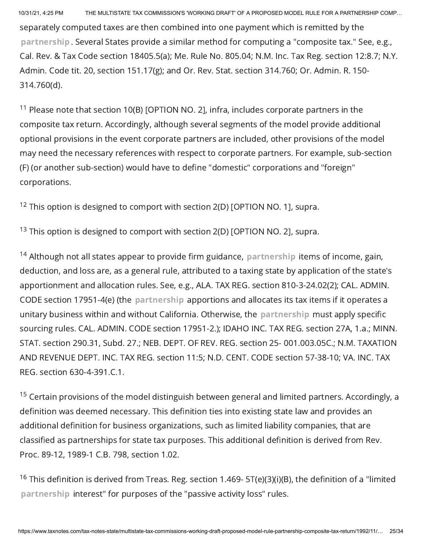separately computed taxes are then combined into one payment which is remitted by the partnership. Several States provide a similar method for computing a "composite tax." See, e.g., Cal. Rev. & Tax Code section 18405.5(a); Me. Rule No. 805.04; N.M. Inc. Tax Reg. section 12:8.7; N.Y. Admin. Code tit. 20, section 151.17(g); and Or. Rev. Stat. section 314.760; Or. Admin. R. 150- 314.760(d).

 $11$  Please note that section 10(B) [OPTION NO. 2], infra, includes corporate partners in the composite tax return. Accordingly, although several segments of the model provide additional optional provisions in the event corporate partners are included, other provisions of the model may need the necessary references with respect to corporate partners. For example, sub-section (F) (or another sub-section) would have to define "domestic" corporations and "foreign" corporations.

 $12$  This option is designed to comport with section 2(D) [OPTION NO. 1], supra.

 $13$  This option is designed to comport with section 2(D) [OPTION NO. 2], supra.

 $14$  Although not all states appear to provide firm guidance, partnership items of income, gain, deduction, and loss are, as a general rule, attributed to a taxing state by application of the state's apportionment and allocation rules. See, e.g., ALA. TAX REG. section 810-3-24.02(2); CAL. ADMIN. CODE section 17951-4(e) (the partnership apportions and allocates its tax items if it operates a unitary business within and without California. Otherwise, the partnership must apply specific sourcing rules. CAL. ADMIN. CODE section 17951-2.); IDAHO INC. TAX REG. section 27A, 1.a.; MINN. STAT. section 290.31, Subd. 27.; NEB. DEPT. OF REV. REG. section 25- 001.003.05C.; N.M. TAXATION AND REVENUE DEPT. INC. TAX REG. section 11:5; N.D. CENT. CODE section 57-38-10; VA. INC. TAX REG. section 630-4-391.C.1.

 $15$  Certain provisions of the model distinguish between general and limited partners. Accordingly, a definition was deemed necessary. This definition ties into existing state law and provides an additional definition for business organizations, such as limited liability companies, that are classified as partnerships for state tax purposes. This additional definition is derived from Rev. Proc. 89-12, 1989-1 C.B. 798, section 1.02.

<sup>16</sup> This definition is derived from Treas. Reg. section 1.469- 5T(e)(3)(i)(B), the definition of a "limited partnership interest" for purposes of the "passive activity loss" rules.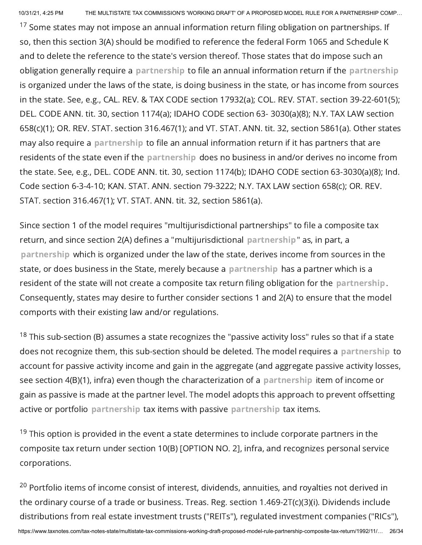$17$  Some states may not impose an annual information return filing obligation on partnerships. If so, then this section 3(A) should be modified to reference the federal Form 1065 and Schedule K and to delete the reference to the state's version thereof. Those states that do impose such an obligation generally require a partnership to file an annual information return if the partnership is organized under the laws of the state, is doing business in the state, or has income from sources in the state. See, e.g., CAL. REV. & TAX CODE section 17932(a); COL. REV. STAT. section 39-22-601(5); DEL. CODE ANN. tit. 30, section 1174(a); IDAHO CODE section 63- 3030(a)(8); N.Y. TAX LAW section 658(c)(1); OR. REV. STAT. section 316.467(1); and VT. STAT. ANN. tit. 32, section 5861(a). Other states may also require a partnership to file an annual information return if it has partners that are residents of the state even if the partnership does no business in and/or derives no income from the state. See, e.g., DEL. CODE ANN. tit. 30, section 1174(b); IDAHO CODE section 63-3030(a)(8); Ind. Code section 6-3-4-10; KAN. STAT. ANN. section 79-3222; N.Y. TAX LAW section 658(c); OR. REV. STAT. section 316.467(1); VT. STAT. ANN. tit. 32, section 5861(a).

Since section 1 of the model requires "multijurisdictional partnerships" to file a composite tax return, and since section 2(A) defines a "multijurisdictional partnership" as, in part, a partnership which is organized under the law of the state, derives income from sources in the state, or does business in the State, merely because a partnership has a partner which is a resident of the state will not create a composite tax return filing obligation for the partnership. Consequently, states may desire to further consider sections 1 and 2(A) to ensure that the model comports with their existing law and/or regulations.

 $^{18}$  This sub-section (B) assumes a state recognizes the "passive activity loss" rules so that if a state does not recognize them, this sub-section should be deleted. The model requires a partnership to account for passive activity income and gain in the aggregate (and aggregate passive activity losses, see section 4(B)(1), infra) even though the characterization of a partnership item of income or gain as passive is made at the partner level. The model adopts this approach to prevent offsetting active or portfolio partnership tax items with passive partnership tax items.

 $19$  This option is provided in the event a state determines to include corporate partners in the composite tax return under section 10(B) [OPTION NO. 2], infra, and recognizes personal service corporations.

 $^{20}$  Portfolio items of income consist of interest, dividends, annuities, and royalties not derived in the ordinary course of a trade or business. Treas. Reg. section 1.469-2T(c)(3)(i). Dividends include distributions from real estate investment trusts ("REITs"), regulated investment companies ("RICs"),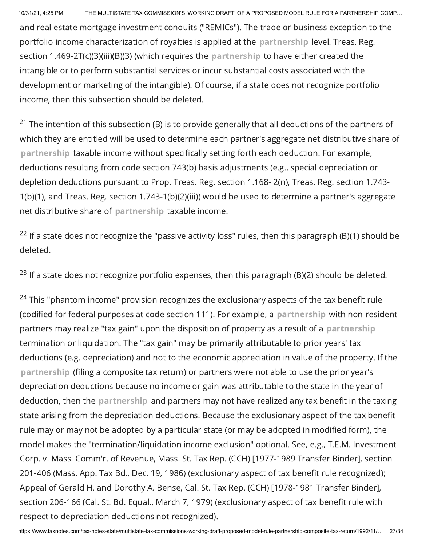10/31/21, 4:25 PM THE MULTISTATE TAX COMMISSION'S 'WORKING DRAFT' OF A PROPOSED MODEL RULE FOR A PARTNERSHIP COMP… and real estate mortgage investment conduits ("REMICs"). The trade or business exception to the portfolio income characterization of royalties is applied at the partnership level. Treas. Reg. section 1.469-2T(c)(3)(iii)(B)(3) (which requires the partnership to have either created the intangible or to perform substantial services or incur substantial costs associated with the development or marketing of the intangible). Of course, if a state does not recognize portfolio income, then this subsection should be deleted.

 $^{21}$  The intention of this subsection (B) is to provide generally that all deductions of the partners of which they are entitled will be used to determine each partner's aggregate net distributive share of partnership taxable income without specifically setting forth each deduction. For example, deductions resulting from code section 743(b) basis adjustments (e.g., special depreciation or depletion deductions pursuant to Prop. Treas. Reg. section 1.168- 2(n), Treas. Reg. section 1.743- 1(b)(1), and Treas. Reg. section 1.743-1(b)(2)(iii)) would be used to determine a partner's aggregate net distributive share of partnership taxable income.

 $^{22}$  If a state does not recognize the "passive activity loss" rules, then this paragraph (B)(1) should be deleted.

 $^{23}$  If a state does not recognize portfolio expenses, then this paragraph (B)(2) should be deleted.

 $^{24}$  This "phantom income" provision recognizes the exclusionary aspects of the tax benefit rule (codified for federal purposes at code section 111). For example, a partnership with non-resident partners may realize "tax gain" upon the disposition of property as a result of a partnership termination or liquidation. The "tax gain" may be primarily attributable to prior years' tax deductions (e.g. depreciation) and not to the economic appreciation in value of the property. If the partnership (filing a composite tax return) or partners were not able to use the prior year's depreciation deductions because no income or gain was attributable to the state in the year of deduction, then the partnership and partners may not have realized any tax benefit in the taxing state arising from the depreciation deductions. Because the exclusionary aspect of the tax benefit rule may or may not be adopted by a particular state (or may be adopted in modified form), the model makes the "termination/liquidation income exclusion" optional. See, e.g., T.E.M. Investment Corp. v. Mass. Comm'r. of Revenue, Mass. St. Tax Rep. (CCH) [1977-1989 Transfer Binder], section 201-406 (Mass. App. Tax Bd., Dec. 19, 1986) (exclusionary aspect of tax benefit rule recognized); Appeal of Gerald H. and Dorothy A. Bense, Cal. St. Tax Rep. (CCH) [1978-1981 Transfer Binder], section 206-166 (Cal. St. Bd. Equal., March 7, 1979) (exclusionary aspect of tax benefit rule with respect to depreciation deductions not recognized).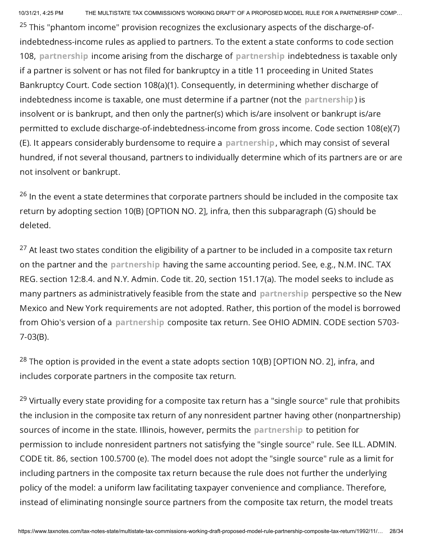$^{25}$  This "phantom income" provision recognizes the exclusionary aspects of the discharge-ofindebtedness-income rules as applied to partners. To the extent a state conforms to code section 108, partnership income arising from the discharge of partnership indebtedness is taxable only if a partner is solvent or has not filed for bankruptcy in a title 11 proceeding in United States Bankruptcy Court. Code section 108(a)(1). Consequently, in determining whether discharge of indebtedness income is taxable, one must determine if a partner (not the partnership) is insolvent or is bankrupt, and then only the partner(s) which is/are insolvent or bankrupt is/are permitted to exclude discharge-of-indebtedness-income from gross income. Code section 108(e)(7) (E). It appears considerably burdensome to require a partnership, which may consist of several hundred, if not several thousand, partners to individually determine which of its partners are or are not insolvent or bankrupt.

 $^{26}$  In the event a state determines that corporate partners should be included in the composite tax return by adopting section 10(B) [OPTION NO. 2], infra, then this subparagraph (G) should be deleted.

 $^{27}$  At least two states condition the eligibility of a partner to be included in a composite tax return on the partner and the partnership having the same accounting period. See, e.g., N.M. INC. TAX REG. section 12:8.4. and N.Y. Admin. Code tit. 20, section 151.17(a). The model seeks to include as many partners as administratively feasible from the state and partnership perspective so the New Mexico and New York requirements are not adopted. Rather, this portion of the model is borrowed from Ohio's version of a partnership composite tax return. See OHIO ADMIN. CODE section 5703- 7-03(B).

 $^{28}$  The option is provided in the event a state adopts section 10(B) [OPTION NO. 2], infra, and includes corporate partners in the composite tax return.

<sup>29</sup> Virtually every state providing for a composite tax return has a "single source" rule that prohibits the inclusion in the composite tax return of any nonresident partner having other (nonpartnership) sources of income in the state. Illinois, however, permits the partnership to petition for permission to include nonresident partners not satisfying the "single source" rule. See ILL. ADMIN. CODE tit. 86, section 100.5700 (e). The model does not adopt the "single source" rule as a limit for including partners in the composite tax return because the rule does not further the underlying policy of the model: a uniform law facilitating taxpayer convenience and compliance. Therefore, instead of eliminating nonsingle source partners from the composite tax return, the model treats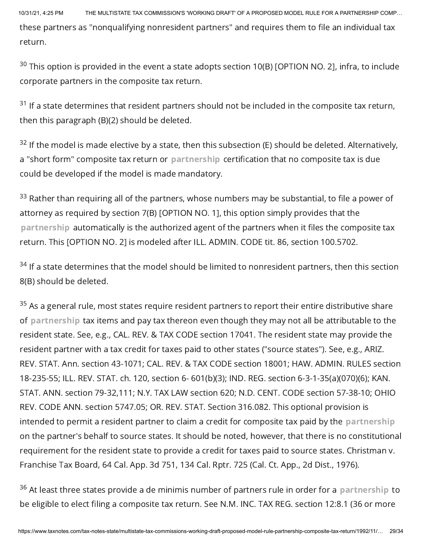10/31/21, 4:25 PM THE MULTISTATE TAX COMMISSION'S 'WORKING DRAFT' OF A PROPOSED MODEL RULE FOR A PARTNERSHIP COMP… these partners as "nonqualifying nonresident partners" and requires them to file an individual tax return.

 $^{30}$  This option is provided in the event a state adopts section 10(B) [OPTION NO. 2], infra, to include corporate partners in the composite tax return.

 $^{31}$  If a state determines that resident partners should not be included in the composite tax return, then this paragraph (B)(2) should be deleted.

 $^{32}$  If the model is made elective by a state, then this subsection (E) should be deleted. Alternatively, a "short form" composite tax return or partnership certification that no composite tax is due could be developed if the model is made mandatory.

 $^{33}$  Rather than requiring all of the partners, whose numbers may be substantial, to file a power of attorney as required by section 7(B) [OPTION NO. 1], this option simply provides that the partnership automatically is the authorized agent of the partners when it files the composite tax return. This [OPTION NO. 2] is modeled after ILL. ADMIN. CODE tit. 86, section 100.5702.

 $^\mathrm{34}$  If a state determines that the model should be limited to nonresident partners, then this section 8(B) should be deleted.

 $^\mathrm{35}$  As a general rule, most states require resident partners to report their entire distributive share of partnership tax items and pay tax thereon even though they may not all be attributable to the resident state. See, e.g., CAL. REV. & TAX CODE section 17041. The resident state may provide the resident partner with a tax credit for taxes paid to other states ("source states"). See, e.g., ARIZ. REV. STAT. Ann. section 43-1071; CAL. REV. & TAX CODE section 18001; HAW. ADMIN. RULES section 18-235-55; ILL. REV. STAT. ch. 120, section 6- 601(b)(3); IND. REG. section 6-3-1-35(a)(070)(6); KAN. STAT. ANN. section 79-32,111; N.Y. TAX LAW section 620; N.D. CENT. CODE section 57-38-10; OHIO REV. CODE ANN. section 5747.05; OR. REV. STAT. Section 316.082. This optional provision is intended to permit a resident partner to claim a credit for composite tax paid by the partnership on the partner's behalf to source states. It should be noted, however, that there is no constitutional requirement for the resident state to provide a credit for taxes paid to source states. Christman v. Franchise Tax Board, 64 Cal. App. 3d 751, 134 Cal. Rptr. 725 (Cal. Ct. App., 2d Dist., 1976).

 $^{36}$  At least three states provide a de minimis number of partners rule in order for a <code>partnership</code> to be eligible to elect filing a composite tax return. See N.M. INC. TAX REG. section 12:8.1 (36 or more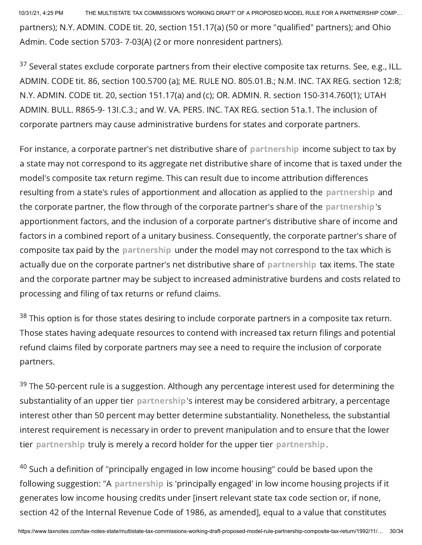10/31/21, 4:25 PM THE MULTISTATE TAX COMMISSION'S 'WORKING DRAFT' OF A PROPOSED MODEL RULE FOR A PARTNERSHIP COMP… partners); N.Y. ADMIN. CODE tit. 20, section 151.17(a) (50 or more "qualified" partners); and Ohio Admin. Code section 5703- 7-03(A) (2 or more nonresident partners).

 $37$  Several states exclude corporate partners from their elective composite tax returns. See, e.g., ILL. ADMIN. CODE tit. 86, section 100.5700 (a); ME. RULE NO. 805.01.B.; N.M. INC. TAX REG. section 12:8; N.Y. ADMIN. CODE tit. 20, section 151.17(a) and (c); OR. ADMIN. R. section 150-314.760(1); UTAH ADMIN. BULL. R865-9- 13I.C.3.; and W. VA. PERS. INC. TAX REG. section 51a.1. The inclusion of corporate partners may cause administrative burdens for states and corporate partners.

For instance, a corporate partner's net distributive share of partnership income subject to tax by a state may not correspond to its aggregate net distributive share of income that is taxed under the model's composite tax return regime. This can result due to income attribution differences resulting from a state's rules of apportionment and allocation as applied to the partnership and the corporate partner, the flow through of the corporate partner's share of the partnership's apportionment factors, and the inclusion of a corporate partner's distributive share of income and factors in a combined report of a unitary business. Consequently, the corporate partner's share of composite tax paid by the partnership under the model may not correspond to the tax which is actually due on the corporate partner's net distributive share of partnership tax items. The state and the corporate partner may be subject to increased administrative burdens and costs related to processing and filing of tax returns or refund claims.

 $^{38}$  This option is for those states desiring to include corporate partners in a composite tax return. Those states having adequate resources to contend with increased tax return filings and potential refund claims filed by corporate partners may see a need to require the inclusion of corporate partners.

 $^{39}$  The 50-percent rule is a suggestion. Although any percentage interest used for determining the substantiality of an upper tier partnership's interest may be considered arbitrary, a percentage interest other than 50 percent may better determine substantiality. Nonetheless, the substantial interest requirement is necessary in order to prevent manipulation and to ensure that the lower tier partnership truly is merely a record holder for the upper tier partnership.

 $^{40}$  Such a definition of "principally engaged in low income housing" could be based upon the following suggestion: "A partnership is 'principally engaged' in low income housing projects if it generates low income housing credits under [insert relevant state tax code section or, if none, section 42 of the Internal Revenue Code of 1986, as amended], equal to a value that constitutes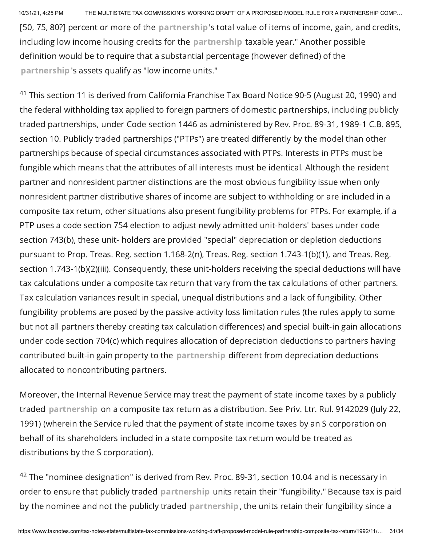[50, 75, 80?] percent or more of the partnership's total value of items of income, gain, and credits, including low income housing credits for the partnership taxable year." Another possible definition would be to require that a substantial percentage (however defined) of the partnership's assets qualify as "low income units."

 $^{41}$  This section 11 is derived from California Franchise Tax Board Notice 90-5 (August 20, 1990) and the federal withholding tax applied to foreign partners of domestic partnerships, including publicly traded partnerships, under Code section 1446 as administered by Rev. Proc. 89-31, 1989-1 C.B. 895, section 10. Publicly traded partnerships ("PTPs") are treated differently by the model than other partnerships because of special circumstances associated with PTPs. Interests in PTPs must be fungible which means that the attributes of all interests must be identical. Although the resident partner and nonresident partner distinctions are the most obvious fungibility issue when only nonresident partner distributive shares of income are subject to withholding or are included in a composite tax return, other situations also present fungibility problems for PTPs. For example, if a PTP uses a code section 754 election to adjust newly admitted unit-holders' bases under code section 743(b), these unit- holders are provided "special" depreciation or depletion deductions pursuant to Prop. Treas. Reg. section 1.168-2(n), Treas. Reg. section 1.743-1(b)(1), and Treas. Reg. section 1.743-1(b)(2)(iii). Consequently, these unit-holders receiving the special deductions will have tax calculations under a composite tax return that vary from the tax calculations of other partners. Tax calculation variances result in special, unequal distributions and a lack of fungibility. Other fungibility problems are posed by the passive activity loss limitation rules (the rules apply to some but not all partners thereby creating tax calculation differences) and special built-in gain allocations under code section 704(c) which requires allocation of depreciation deductions to partners having contributed built-in gain property to the partnership different from depreciation deductions allocated to noncontributing partners.

Moreover, the Internal Revenue Service may treat the payment of state income taxes by a publicly traded partnership on a composite tax return as a distribution. See Priv. Ltr. Rul. 9142029 (July 22, 1991) (wherein the Service ruled that the payment of state income taxes by an S corporation on behalf of its shareholders included in a state composite tax return would be treated as distributions by the S corporation).

 $^{42}$  The "nominee designation" is derived from Rev. Proc. 89-31, section 10.04 and is necessary in order to ensure that publicly traded partnership units retain their "fungibility." Because tax is paid by the nominee and not the publicly traded partnership, the units retain their fungibility since a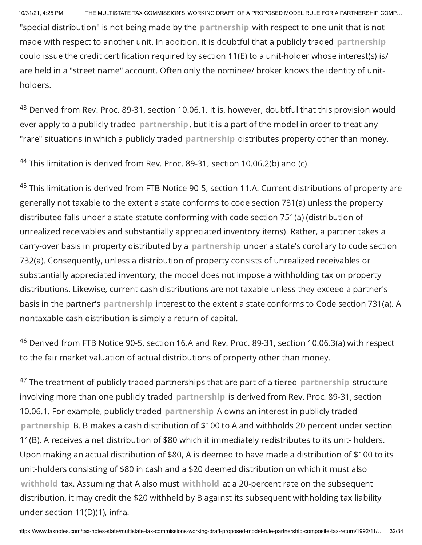"special distribution" is not being made by the partnership with respect to one unit that is not made with respect to another unit. In addition, it is doubtful that a publicly traded partnership could issue the credit certification required by section 11(E) to a unit-holder whose interest(s) is/ are held in a "street name" account. Often only the nominee/ broker knows the identity of unitholders.

 $^{43}$  Derived from Rev. Proc. 89-31, section 10.06.1. It is, however, doubtful that this provision would ever apply to a publicly traded partnership, but it is a part of the model in order to treat any "rare" situations in which a publicly traded partnership distributes property other than money.

 $44$  This limitation is derived from Rev. Proc. 89-31, section 10.06.2(b) and (c).

 $^{45}$  This limitation is derived from FTB Notice 90-5, section 11.A. Current distributions of property are generally not taxable to the extent a state conforms to code section 731(a) unless the property distributed falls under a state statute conforming with code section 751(a) (distribution of unrealized receivables and substantially appreciated inventory items). Rather, a partner takes a carry-over basis in property distributed by a partnership under a state's corollary to code section 732(a). Consequently, unless a distribution of property consists of unrealized receivables or substantially appreciated inventory, the model does not impose a withholding tax on property distributions. Likewise, current cash distributions are not taxable unless they exceed a partner's basis in the partner's partnership interest to the extent a state conforms to Code section 731(a). A nontaxable cash distribution is simply a return of capital.

 $^{46}$  Derived from FTB Notice 90-5, section 16.A and Rev. Proc. 89-31, section 10.06.3(a) with respect to the fair market valuation of actual distributions of property other than money.

 $^\mathrm{47}$  The treatment of publicly traded partnerships that are part of a tiered <code>partnership</code> structure involving more than one publicly traded partnership is derived from Rev. Proc. 89-31, section 10.06.1. For example, publicly traded partnership A owns an interest in publicly traded partnership B. B makes a cash distribution of \$100 to A and withholds 20 percent under section 11(B). A receives a net distribution of \$80 which it immediately redistributes to its unit- holders. Upon making an actual distribution of \$80, A is deemed to have made a distribution of \$100 to its unit-holders consisting of \$80 in cash and a \$20 deemed distribution on which it must also withhold tax. Assuming that A also must withhold at a 20-percent rate on the subsequent distribution, it may credit the \$20 withheld by B against its subsequent withholding tax liability under section 11(D)(1), infra.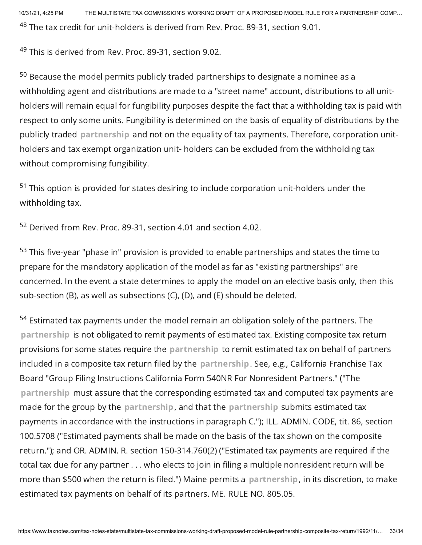10/31/21, 4:25 PM THE MULTISTATE TAX COMMISSION'S 'WORKING DRAFT' OF A PROPOSED MODEL RULE FOR A PARTNERSHIP COMP…  $^{48}$  The tax credit for unit-holders is derived from Rev. Proc. 89-31, section 9.01.

<sup>49</sup> This is derived from Rev. Proc. 89-31, section 9.02.

 $^{50}$  Because the model permits publicly traded partnerships to designate a nominee as a withholding agent and distributions are made to a "street name" account, distributions to all unitholders will remain equal for fungibility purposes despite the fact that a withholding tax is paid with respect to only some units. Fungibility is determined on the basis of equality of distributions by the publicly traded partnership and not on the equality of tax payments. Therefore, corporation unitholders and tax exempt organization unit- holders can be excluded from the withholding tax without compromising fungibility.

 $51$  This option is provided for states desiring to include corporation unit-holders under the withholding tax.

 $52$  Derived from Rev. Proc. 89-31, section 4.01 and section 4.02.

 $^{53}$  This five-year "phase in" provision is provided to enable partnerships and states the time to prepare for the mandatory application of the model as far as "existing partnerships" are concerned. In the event a state determines to apply the model on an elective basis only, then this sub-section (B), as well as subsections (C), (D), and (E) should be deleted.

 $54$  Estimated tax payments under the model remain an obligation solely of the partners. The partnership is not obligated to remit payments of estimated tax. Existing composite tax return provisions for some states require the partnership to remit estimated tax on behalf of partners included in a composite tax return filed by the partnership. See, e.g., California Franchise Tax Board "Group Filing Instructions California Form 540NR For Nonresident Partners." ("The partnership must assure that the corresponding estimated tax and computed tax payments are made for the group by the partnership, and that the partnership submits estimated tax payments in accordance with the instructions in paragraph C."); ILL. ADMIN. CODE, tit. 86, section 100.5708 ("Estimated payments shall be made on the basis of the tax shown on the composite return."); and OR. ADMIN. R. section 150-314.760(2) ("Estimated tax payments are required if the total tax due for any partner . . . who elects to join in filing a multiple nonresident return will be more than \$500 when the return is filed.") Maine permits a partnership, in its discretion, to make estimated tax payments on behalf of its partners. ME. RULE NO. 805.05.